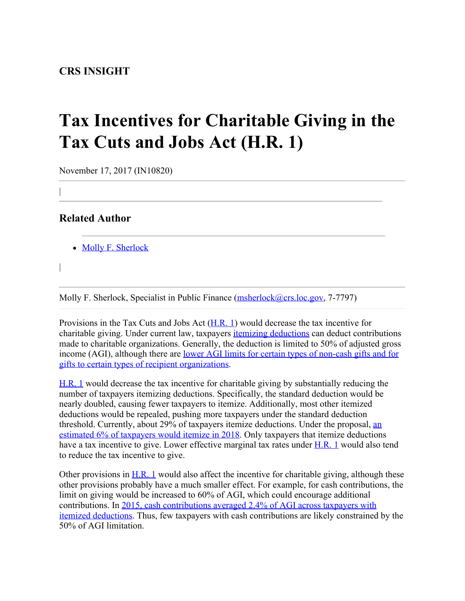## **Tax Incentives for Charitable Giving in the Tax Cuts and Jobs Act (H.R. 1)**

November 17, 2017 (IN10820)

## **Related Author**

- [Molly F. Sherlock](http://www.crs.gov/Author/index?id=101376)
- |

|

Molly F. Sherlock, Specialist in Public Finance [\(msherlock@crs.loc.gov](mailto:msherlock@crs.loc.gov), 7-7797)

Provisions in the Tax Cuts and Jobs Act  $(H, R, 1)$  would decrease the tax incentive for charitable giving. Under current law, taxpayers *itemizing deductions* can deduct contributions made to charitable organizations. Generally, the deduction is limited to 50% of adjusted gross income (AGI), although there are [lower AGI limits for certain types of non-cash gifts and for](http://www.crs.gov/Reports/IF10706) [gifts to certain types of recipient organizations](http://www.crs.gov/Reports/IF10706).

[H.R. 1](http://www.congress.gov/cgi-lis/bdquery/z?d115:H.R.1:) would decrease the tax incentive for charitable giving by substantially reducing the number of taxpayers itemizing deductions. Specifically, the standard deduction would be nearly doubled, causing fewer taxpayers to itemize. Additionally, most other itemized deductions would be repealed, pushing more taxpayers under the standard deduction threshold. Currently, about 29% of taxpayers itemize deductions. Under the proposal, [an](https://www.washingtonpost.com/business/economy/as-tax-debate-begins-gop-changes-its-plan-to-rein-in-carried-interest-loophole/2017/11/06/1a033c38-c308-11e7-afe9-4f60b5a6c4a0_story.html?utm_term=.aa4c7c62267b) [estimated 6% of taxpayers would itemize in 2018](https://www.washingtonpost.com/business/economy/as-tax-debate-begins-gop-changes-its-plan-to-rein-in-carried-interest-loophole/2017/11/06/1a033c38-c308-11e7-afe9-4f60b5a6c4a0_story.html?utm_term=.aa4c7c62267b). Only taxpayers that itemize deductions have a tax incentive to give. Lower effective marginal tax rates under [H.R. 1](http://www.congress.gov/cgi-lis/bdquery/z?d115:H.R.1:) would also tend to reduce the tax incentive to give.

Other provisions in  $H.R. 1$  would also affect the incentive for charitable giving, although these other provisions probably have a much smaller effect. For example, for cash contributions, the limit on giving would be increased to 60% of AGI, which could encourage additional contributions. In [2015, cash contributions averaged 2.4% of AGI across taxpayers with](https://www.irs.gov/pub/irs-soi/15in21id.xls) [itemized deductions](https://www.irs.gov/pub/irs-soi/15in21id.xls). Thus, few taxpayers with cash contributions are likely constrained by the 50% of AGI limitation.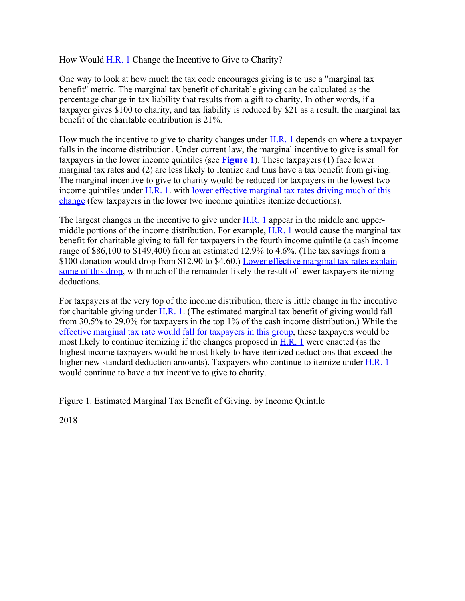How Would [H.R. 1](http://www.congress.gov/cgi-lis/bdquery/z?d115:H.R.1:) Change the Incentive to Give to Charity?

One way to look at how much the tax code encourages giving is to use a "marginal tax benefit" metric. The marginal tax benefit of charitable giving can be calculated as the percentage change in tax liability that results from a gift to charity. In other words, if a taxpayer gives \$100 to charity, and tax liability is reduced by \$21 as a result, the marginal tax benefit of the charitable contribution is 21%.

How much the incentive to give to charity changes under  $H.R. 1$  depends on where a taxpayer falls in the income distribution. Under current law, the marginal incentive to give is small for taxpayers in the lower income quintiles (see **[Figure 1](http://www.crs.gov/Reports/IN10820?source=INLanding#_Ref498541355)**). These taxpayers (1) face lower marginal tax rates and (2) are less likely to itemize and thus have a tax benefit from giving. The marginal incentive to give to charity would be reduced for taxpayers in the lowest two income quintiles under  $H.R. 1$ . with [lower effective marginal tax rates driving much of this](http://www.taxpolicycenter.org/model-estimates/house-tax-cuts-and-jobs-act-passed-ways-and-means-committee-nov-2017/t17-0258) [change](http://www.taxpolicycenter.org/model-estimates/house-tax-cuts-and-jobs-act-passed-ways-and-means-committee-nov-2017/t17-0258) (few taxpayers in the lower two income quintiles itemize deductions).

The largest changes in the incentive to give under  $H.R. 1$  appear in the middle and uppermiddle portions of the income distribution. For example,  $H.R. 1$  would cause the marginal tax benefit for charitable giving to fall for taxpayers in the fourth income quintile (a cash income range of \$86,100 to \$149,400) from an estimated 12.9% to 4.6%. (The tax savings from a \$100 donation would drop from \$12.90 to \$4.60.) [Lower effective marginal tax rates explain](http://www.taxpolicycenter.org/model-estimates/house-tax-cuts-and-jobs-act-passed-ways-and-means-committee-nov-2017/t17-0258) [some of this drop](http://www.taxpolicycenter.org/model-estimates/house-tax-cuts-and-jobs-act-passed-ways-and-means-committee-nov-2017/t17-0258), with much of the remainder likely the result of fewer taxpayers itemizing deductions.

For taxpayers at the very top of the income distribution, there is little change in the incentive for charitable giving under  $H.R. 1$ . (The estimated marginal tax benefit of giving would fall from 30.5% to 29.0% for taxpayers in the top 1% of the cash income distribution.) While the [effective marginal tax rate would fall for taxpayers in this group,](http://www.taxpolicycenter.org/model-estimates/house-tax-cuts-and-jobs-act-passed-ways-and-means-committee-nov-2017/t17-0258) these taxpayers would be most likely to continue itemizing if the changes proposed in [H.R. 1](http://www.congress.gov/cgi-lis/bdquery/z?d115:H.R.1:) were enacted (as the highest income taxpayers would be most likely to have itemized deductions that exceed the higher new standard deduction amounts). Taxpayers who continue to itemize under **H.R. 1** would continue to have a tax incentive to give to charity.

Figure 1. Estimated Marginal Tax Benefit of Giving, by Income Quintile

2018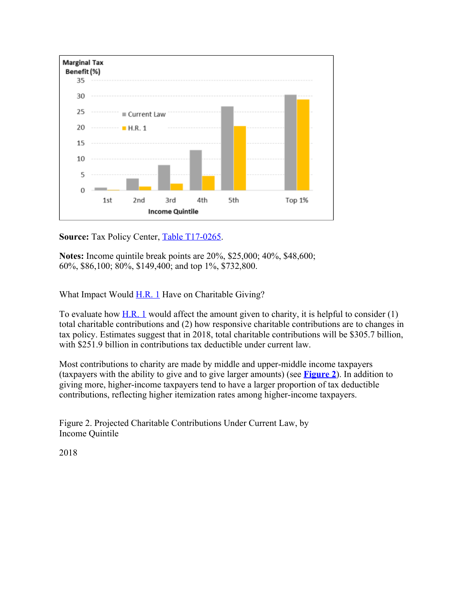

**Source:** Tax Policy Center, [Table T17-0265](http://www.taxpolicycenter.org/model-estimates/charitable-contributions-and-tcja-nov-2017/t17-0265-effective-marginal-tax-benefit).

**Notes:** Income quintile break points are 20%, \$25,000; 40%, \$48,600; 60%, \$86,100; 80%, \$149,400; and top 1%, \$732,800.

What Impact Would  $H.R. 1$  Have on Charitable Giving?

To evaluate how [H.R. 1](http://www.congress.gov/cgi-lis/bdquery/z?d115:H.R.1:) would affect the amount given to charity, it is helpful to consider  $(1)$ total charitable contributions and (2) how responsive charitable contributions are to changes in tax policy. Estimates suggest that in 2018, total charitable contributions will be \$305.7 billion, with \$251.9 billion in contributions tax deductible under current law.

Most contributions to charity are made by middle and upper-middle income taxpayers (taxpayers with the ability to give and to give larger amounts) (see **[Figure 2](http://www.crs.gov/Reports/IN10820?source=INLanding#_Ref498541583)**). In addition to giving more, higher-income taxpayers tend to have a larger proportion of tax deductible contributions, reflecting higher itemization rates among higher-income taxpayers.

Figure 2. Projected Charitable Contributions Under Current Law, by Income Quintile

2018